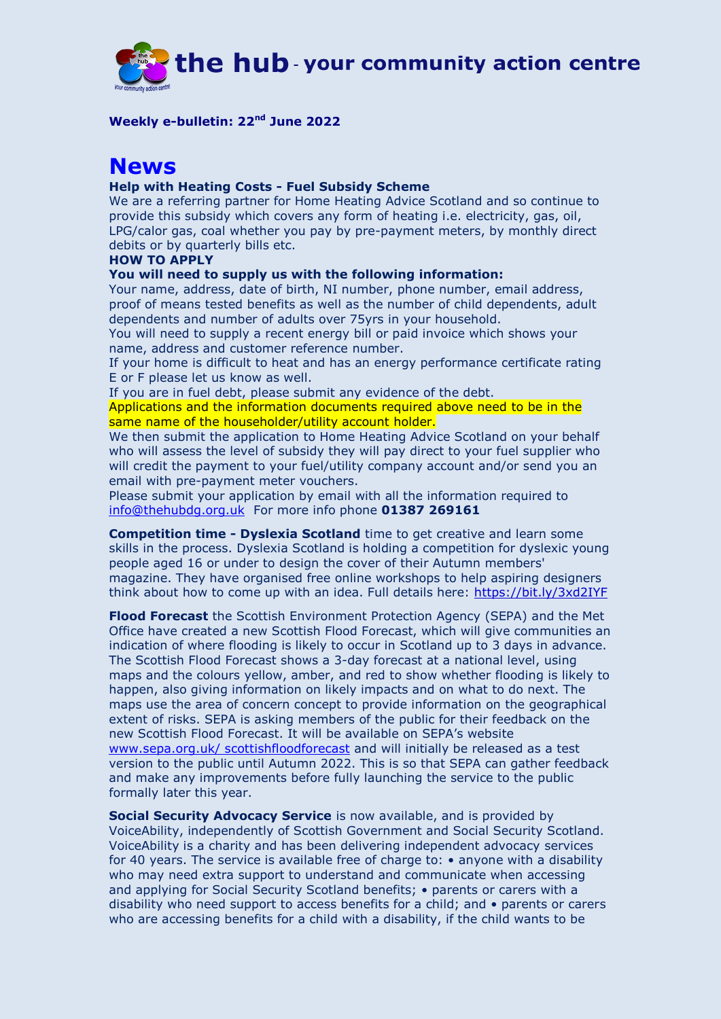

**Weekly e-bulletin: 22nd June 2022**

# **News**

#### **Help with Heating Costs - Fuel Subsidy Scheme**

We are a referring partner for Home Heating Advice Scotland and so continue to provide this subsidy which covers any form of heating i.e. electricity, gas, oil, LPG/calor gas, coal whether you pay by pre-payment meters, by monthly direct debits or by quarterly bills etc.

### **HOW TO APPLY**

#### **You will need to supply us with the following information:**

Your name, address, date of birth, NI number, phone number, email address, proof of means tested benefits as well as the number of child dependents, adult dependents and number of adults over 75yrs in your household.

You will need to supply a recent energy bill or paid invoice which shows your name, address and customer reference number.

If your home is difficult to heat and has an energy performance certificate rating E or F please let us know as well.

If you are in fuel debt, please submit any evidence of the debt.

Applications and the information documents required above need to be in the same name of the householder/utility account holder.

We then submit the application to Home Heating Advice Scotland on your behalf who will assess the level of subsidy they will pay direct to your fuel supplier who will credit the payment to your fuel/utility company account and/or send you an email with pre-payment meter vouchers.

Please submit your application by email with all the information required to [info@thehubdg.org.uk](file://///192.168.6.2/hub_data/Hub%20Open/E-bulletin/April%202021%20to%20March%202022/February%202022/info@thehubdg.org.uk) For more info phone **01387 269161**

**Competition time - Dyslexia Scotland** time to get creative and learn some skills in the process. Dyslexia Scotland is holding a competition for dyslexic young people aged 16 or under to design the cover of their Autumn members' magazine. They have organised free online workshops to help aspiring designers think about how to come up with an idea. Full details here:<https://bit.ly/3xd2IYF>

**Flood Forecast** the Scottish Environment Protection Agency (SEPA) and the Met Office have created a new Scottish Flood Forecast, which will give communities an indication of where flooding is likely to occur in Scotland up to 3 days in advance. The Scottish Flood Forecast shows a 3-day forecast at a national level, using maps and the colours yellow, amber, and red to show whether flooding is likely to happen, also giving information on likely impacts and on what to do next. The maps use the area of concern concept to provide information on the geographical extent of risks. SEPA is asking members of the public for their feedback on the new Scottish Flood Forecast. It will be available on SEPA's website [www.sepa.org.uk/ scottishfloodforecast](www.sepa.org.uk/%20scottishfloodforecast) and will initially be released as a test version to the public until Autumn 2022. This is so that SEPA can gather feedback and make any improvements before fully launching the service to the public formally later this year.

**Social Security Advocacy Service** is now available, and is provided by VoiceAbility, independently of Scottish Government and Social Security Scotland. VoiceAbility is a charity and has been delivering independent advocacy services for 40 years. The service is available free of charge to: • anyone with a disability who may need extra support to understand and communicate when accessing and applying for Social Security Scotland benefits; • parents or carers with a disability who need support to access benefits for a child; and • parents or carers who are accessing benefits for a child with a disability, if the child wants to be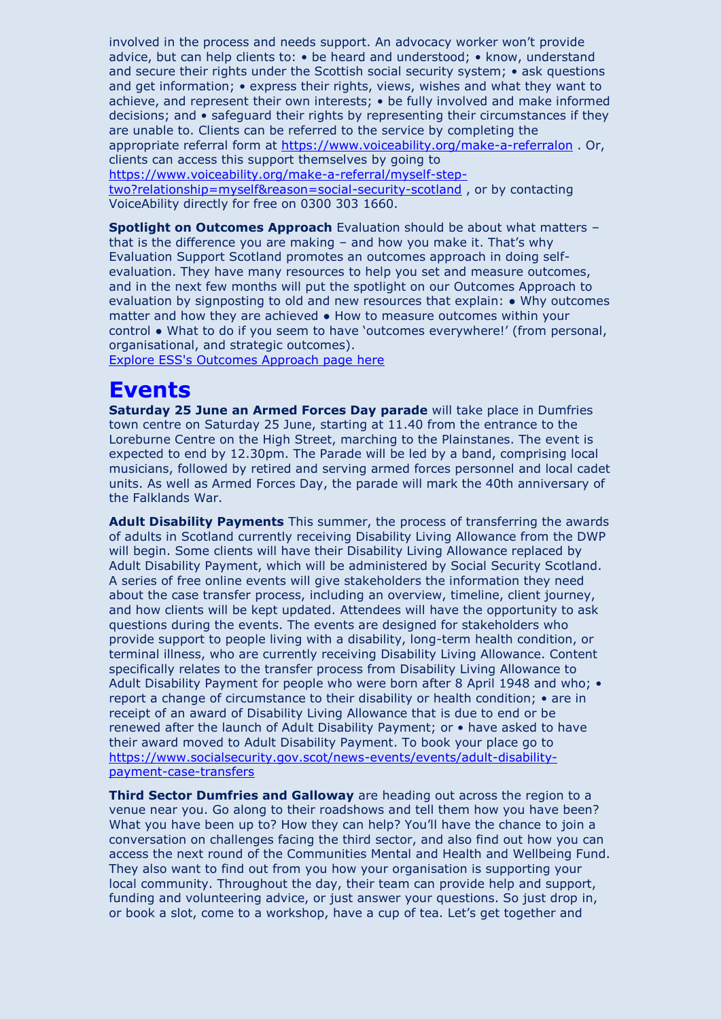involved in the process and needs support. An advocacy worker won't provide advice, but can help clients to: • be heard and understood; • know, understand and secure their rights under the Scottish social security system; • ask questions and get information; • express their rights, views, wishes and what they want to achieve, and represent their own interests; • be fully involved and make informed decisions; and • safeguard their rights by representing their circumstances if they are unable to. Clients can be referred to the service by completing the appropriate referral form at<https://www.voiceability.org/make-a-referralon> . Or, clients can access this support themselves by going to [https://www.voiceability.org/make-a-referral/myself-step](https://www.voiceability.org/make-a-referral/myself-step-two?relationship=myself&reason=social-security-scotland)[two?relationship=myself&reason=social-security-scotland](https://www.voiceability.org/make-a-referral/myself-step-two?relationship=myself&reason=social-security-scotland) , or by contacting

VoiceAbility directly for free on 0300 303 1660.

**Spotlight on Outcomes Approach** Evaluation should be about what matters – that is the difference you are making – and how you make it. That's why Evaluation Support Scotland promotes an outcomes approach in doing selfevaluation. They have many resources to help you set and measure outcomes, and in the next few months will put the spotlight on our Outcomes Approach to evaluation by signposting to old and new resources that explain: ● Why outcomes matter and how they are achieved ● How to measure outcomes within your control ● What to do if you seem to have 'outcomes everywhere!' (from personal, organisational, and strategic outcomes).

[Explore ESS's Outcomes Approach page](https://chex.us3.list-manage.com/track/click?u=a120aae74605e54a77ee9891e&id=bc24a731f3&e=be8493b810) here

### **Events**

**Saturday 25 June an Armed Forces Day parade** will take place in Dumfries town centre on Saturday 25 June, starting at 11.40 from the entrance to the Loreburne Centre on the High Street, marching to the Plainstanes. The event is expected to end by 12.30pm. The Parade will be led by a band, comprising local musicians, followed by retired and serving armed forces personnel and local cadet units. As well as Armed Forces Day, the parade will mark the 40th anniversary of the Falklands War.

**Adult Disability Payments** This summer, the process of transferring the awards of adults in Scotland currently receiving Disability Living Allowance from the DWP will begin. Some clients will have their Disability Living Allowance replaced by Adult Disability Payment, which will be administered by Social Security Scotland. A series of free online events will give stakeholders the information they need about the case transfer process, including an overview, timeline, client journey, and how clients will be kept updated. Attendees will have the opportunity to ask questions during the events. The events are designed for stakeholders who provide support to people living with a disability, long-term health condition, or terminal illness, who are currently receiving Disability Living Allowance. Content specifically relates to the transfer process from Disability Living Allowance to Adult Disability Payment for people who were born after 8 April 1948 and who; • report a change of circumstance to their disability or health condition; • are in receipt of an award of Disability Living Allowance that is due to end or be renewed after the launch of Adult Disability Payment; or • have asked to have their award moved to Adult Disability Payment. To book your place go to [https://www.socialsecurity.gov.scot/news-events/events/adult-disability](https://www.socialsecurity.gov.scot/news-events/events/adult-disability-payment-case-transfers)[payment-case-transfers](https://www.socialsecurity.gov.scot/news-events/events/adult-disability-payment-case-transfers)

**Third Sector Dumfries and Galloway** are heading out across the region to a venue near you. Go along to their roadshows and tell them how you have been? What you have been up to? How they can help? You'll have the chance to join a conversation on challenges facing the third sector, and also find out how you can access the next round of the Communities Mental and Health and Wellbeing Fund. They also want to find out from you how your organisation is supporting your local community. Throughout the day, their team can provide help and support, funding and volunteering advice, or just answer your questions. So just drop in, or book a slot, come to a workshop, have a cup of tea. Let's get together and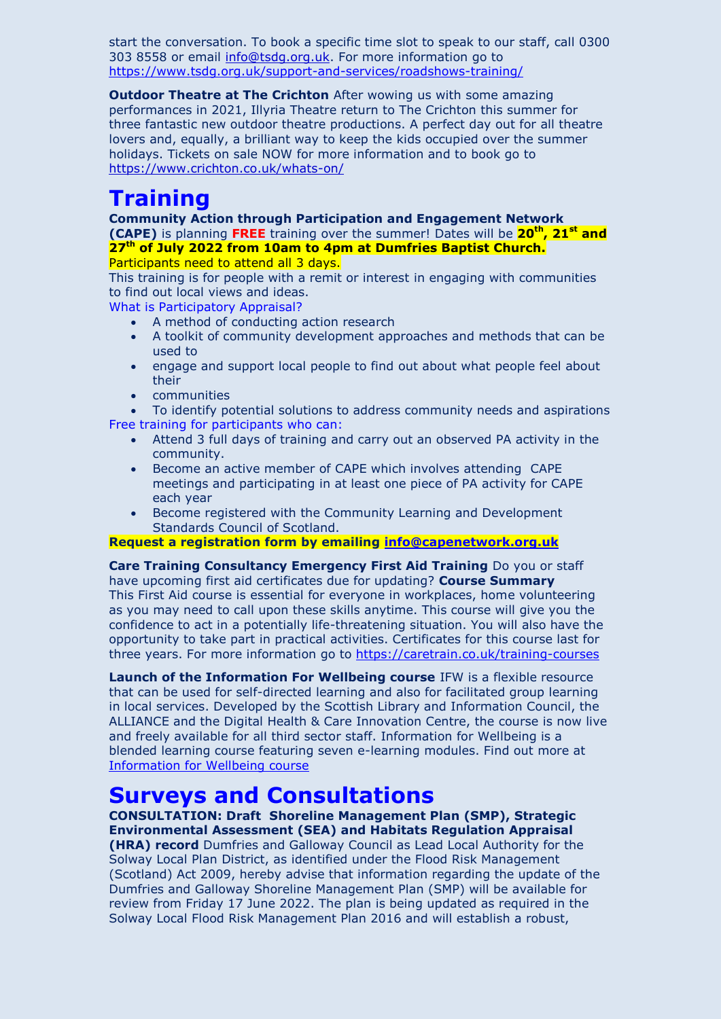start the conversation. To book a specific time slot to speak to our staff, call 0300 303 8558 or email [info@tsdg.org.uk.](mailto:info@tsdg.org.uk) For more information go to <https://www.tsdg.org.uk/support-and-services/roadshows-training/>

**Outdoor Theatre at The Crichton** After wowing us with some amazing performances in 2021, Illyria Theatre return to The Crichton this summer for three fantastic new outdoor theatre productions. A perfect day out for all theatre lovers and, equally, a brilliant way to keep the kids occupied over the summer holidays. Tickets on sale NOW for more information and to book go to <https://www.crichton.co.uk/whats-on/>

# **Training**

**Community Action through Participation and Engagement Network (CAPE)** is planning **FREE** training over the summer! Dates will be **20th, 21st and 27th of July 2022 from 10am to 4pm at Dumfries Baptist Church.** 

Participants need to attend all 3 days.

This training is for people with a remit or interest in engaging with communities to find out local views and ideas.

What is Participatory Appraisal?

- A method of conducting action research
- A toolkit of community development approaches and methods that can be used to
- engage and support local people to find out about what people feel about their
- communities

 To identify potential solutions to address community needs and aspirations Free training for participants who can:

- Attend 3 full days of training and carry out an observed PA activity in the community.
- Become an active member of CAPE which involves attending CAPE meetings and participating in at least one piece of PA activity for CAPE each year
- Become registered with the Community Learning and Development Standards Council of Scotland.

**Request a registration form by emailing [info@capenetwork.org.uk](mailto:info@capenetwork.org.uk)**

**Care Training Consultancy Emergency First Aid Training** Do you or staff have upcoming first aid certificates due for updating? **Course Summary** This First Aid course is essential for everyone in workplaces, home volunteering as you may need to call upon these skills anytime. This course will give you the confidence to act in a potentially life-threatening situation. You will also have the opportunity to take part in practical activities. Certificates for this course last for three years. For more information go to<https://caretrain.co.uk/training-courses>

**Launch of the Information For Wellbeing course** IFW is a flexible resource that can be used for self-directed learning and also for facilitated group learning in local services. Developed by the Scottish Library and Information Council, the ALLIANCE and the Digital Health & Care Innovation Centre, the course is now live and freely available for all third sector staff. Information for Wellbeing is a blended learning course featuring seven e-learning modules. Find out more at [Information for Wellbeing course](https://infoforwellbeing.scot.nhs.uk/) 

## **Surveys and Consultations**

**CONSULTATION: Draft Shoreline Management Plan (SMP), Strategic Environmental Assessment (SEA) and Habitats Regulation Appraisal** 

**(HRA) record** Dumfries and Galloway Council as Lead Local Authority for the Solway Local Plan District, as identified under the Flood Risk Management (Scotland) Act 2009, hereby advise that information regarding the update of the Dumfries and Galloway Shoreline Management Plan (SMP) will be available for review from Friday 17 June 2022. The plan is being updated as required in the Solway Local Flood Risk Management Plan 2016 and will establish a robust,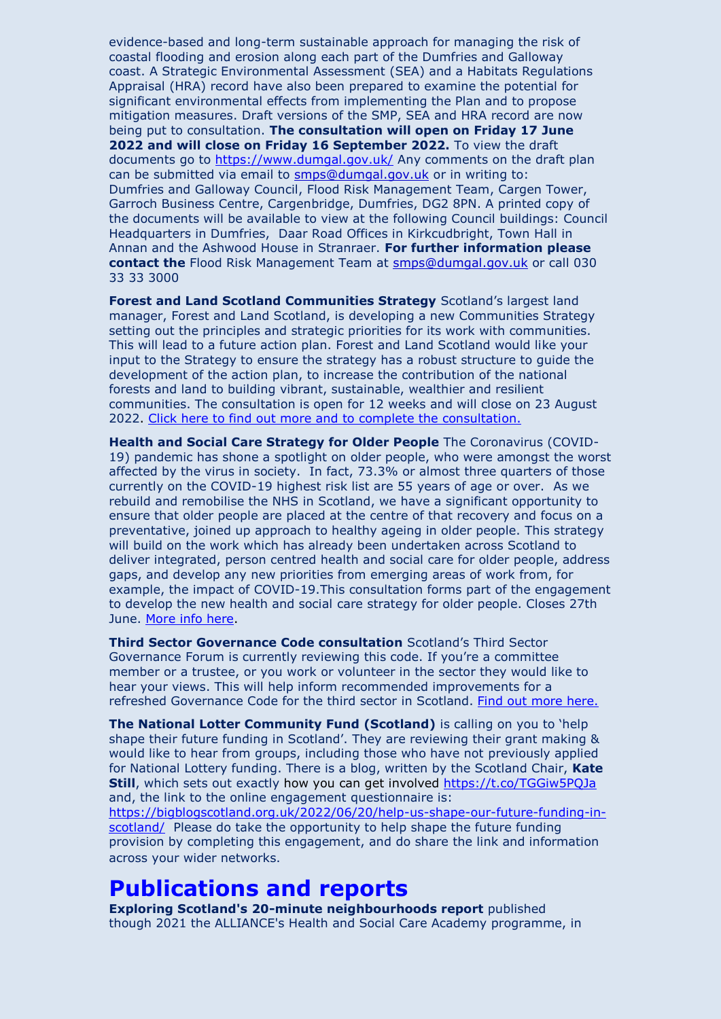evidence-based and long-term sustainable approach for managing the risk of coastal flooding and erosion along each part of the Dumfries and Galloway coast. A Strategic Environmental Assessment (SEA) and a Habitats Regulations Appraisal (HRA) record have also been prepared to examine the potential for significant environmental effects from implementing the Plan and to propose mitigation measures. Draft versions of the SMP, SEA and HRA record are now being put to consultation. **The consultation will open on Friday 17 June 2022 and will close on Friday 16 September 2022.** To view the draft documents go to<https://www.dumgal.gov.uk/> Any comments on the draft plan can be submitted via email to [smps@dumgal.gov.uk](mailto:smps@dumgal.gov.uk) or in writing to: Dumfries and Galloway Council, Flood Risk Management Team, Cargen Tower, Garroch Business Centre, Cargenbridge, Dumfries, DG2 8PN. A printed copy of the documents will be available to view at the following Council buildings: Council Headquarters in Dumfries, Daar Road Offices in Kirkcudbright, Town Hall in Annan and the Ashwood House in Stranraer. **For further information please contact the** Flood Risk Management Team at [smps@dumgal.gov.uk](mailto:smps@dumgal.gov.uk) or call 030 33 33 3000

**Forest and Land Scotland Communities Strategy** Scotland's largest land manager, Forest and Land Scotland, is developing a new Communities Strategy setting out the principles and strategic priorities for its work with communities. This will lead to a future action plan. Forest and Land Scotland would like your input to the Strategy to ensure the strategy has a robust structure to guide the development of the action plan, to increase the contribution of the national forests and land to building vibrant, sustainable, wealthier and resilient communities. The consultation is open for 12 weeks and will close on 23 August 2022. [Click here to find out more and to complete the consultation.](https://chex.us3.list-manage.com/track/click?u=a120aae74605e54a77ee9891e&id=713863565d&e=be8493b810)

**Health and Social Care Strategy for Older People** The Coronavirus (COVID-19) pandemic has shone a spotlight on older people, who were amongst the worst affected by the virus in society. In fact, 73.3% or almost three quarters of those currently on the COVID-19 highest risk list are 55 years of age or over. As we rebuild and remobilise the NHS in Scotland, we have a significant opportunity to ensure that older people are placed at the centre of that recovery and focus on a preventative, joined up approach to healthy ageing in older people. This strategy will build on the work which has already been undertaken across Scotland to deliver integrated, person centred health and social care for older people, address gaps, and develop any new priorities from emerging areas of work from, for example, the impact of COVID-19.This consultation forms part of the engagement to develop the new health and social care strategy for older people. Closes 27th June. [More info here.](https://chex.us3.list-manage.com/track/click?u=a120aae74605e54a77ee9891e&id=eb1d3b30a0&e=be8493b810)

**Third Sector Governance Code consultation** Scotland's Third Sector Governance Forum is currently reviewing this code. If you're a committee member or a trustee, or you work or volunteer in the sector they would like to hear your views. This will help inform recommended improvements for a refreshed Governance Code for the third sector in Scotland. [Find out more here.](https://chex.us3.list-manage.com/track/click?u=a120aae74605e54a77ee9891e&id=3a3c9f8e18&e=be8493b810)

**The National Lotter Community Fund (Scotland)** is calling on you to 'help shape their future funding in Scotland'. They are reviewing their grant making & would like to hear from groups, including those who have not previously applied for National Lottery funding. There is a blog, written by the Scotland Chair, **Kate Still**, which sets out exactly how you can get involved<https://t.co/TGGiw5PQJa> and, the link to the online engagement questionnaire is:

[https://bigblogscotland.org.uk/2022/06/20/help-us-shape-our-future-funding-in](https://eur03.safelinks.protection.outlook.com/?url=https%3A%2F%2Fbigblogscotland.org.uk%2F2022%2F06%2F20%2Fhelp-us-shape-our-future-funding-in-scotland%2F&data=05%7C01%7C%7C6f311842389e4d0f588908da54267f49%7Cbd2e1df68d5a4867a647487c2a7402de%7C0%7C0%7C637914822518251105%7CUnknown%7CTWFpbGZsb3d8eyJWIjoiMC4wLjAwMDAiLCJQIjoiV2luMzIiLCJBTiI6Ik1haWwiLCJXVCI6Mn0%3D%7C2000%7C%7C%7C&sdata=LPcjxSJrt1k%2BJEfx60lwMAuE7iNCr1w9uDDWICiJaUQ%3D&reserved=0)[scotland/](https://eur03.safelinks.protection.outlook.com/?url=https%3A%2F%2Fbigblogscotland.org.uk%2F2022%2F06%2F20%2Fhelp-us-shape-our-future-funding-in-scotland%2F&data=05%7C01%7C%7C6f311842389e4d0f588908da54267f49%7Cbd2e1df68d5a4867a647487c2a7402de%7C0%7C0%7C637914822518251105%7CUnknown%7CTWFpbGZsb3d8eyJWIjoiMC4wLjAwMDAiLCJQIjoiV2luMzIiLCJBTiI6Ik1haWwiLCJXVCI6Mn0%3D%7C2000%7C%7C%7C&sdata=LPcjxSJrt1k%2BJEfx60lwMAuE7iNCr1w9uDDWICiJaUQ%3D&reserved=0) Please do take the opportunity to help shape the future funding provision by completing this engagement, and do share the link and information across your wider networks.

### **Publications and reports**

**Exploring Scotland's 20-minute neighbourhoods report** published though 2021 the ALLIANCE's Health and Social Care Academy programme, in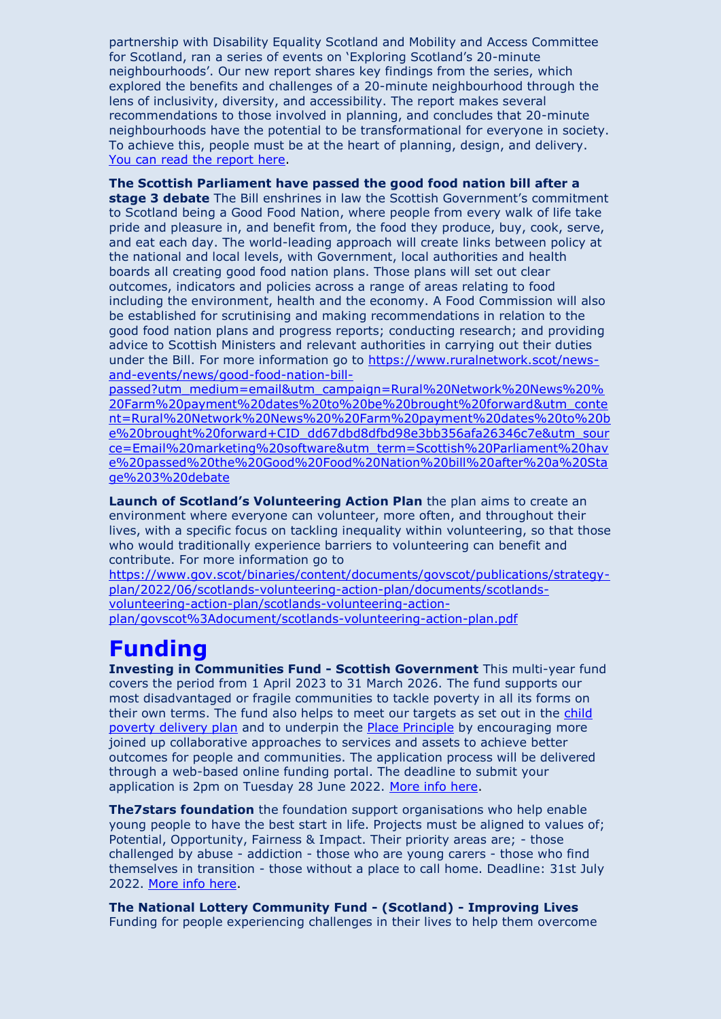partnership with Disability Equality Scotland and Mobility and Access Committee for Scotland, ran a series of events on 'Exploring Scotland's 20-minute neighbourhoods'. Our new report shares key findings from the series, which explored the benefits and challenges of a 20-minute neighbourhood through the lens of inclusivity, diversity, and accessibility. The report makes several recommendations to those involved in planning, and concludes that 20-minute neighbourhoods have the potential to be transformational for everyone in society. To achieve this, people must be at the heart of planning, design, and delivery. [You can read the report here.](https://chex.us3.list-manage.com/track/click?u=a120aae74605e54a77ee9891e&id=d1fbe7d03b&e=be8493b810)

**The Scottish Parliament have passed the good food nation bill after a** 

**stage 3 debate** The Bill enshrines in law the Scottish Government's commitment to Scotland being a Good Food Nation, where people from every walk of life take pride and pleasure in, and benefit from, the food they produce, buy, cook, serve, and eat each day. The world-leading approach will create links between policy at the national and local levels, with Government, local authorities and health boards all creating good food nation plans. Those plans will set out clear outcomes, indicators and policies across a range of areas relating to food including the environment, health and the economy. A Food Commission will also be established for scrutinising and making recommendations in relation to the good food nation plans and progress reports; conducting research; and providing advice to Scottish Ministers and relevant authorities in carrying out their duties under the Bill. For more information go to [https://www.ruralnetwork.scot/news](https://www.ruralnetwork.scot/news-and-events/news/good-food-nation-bill-passed?utm_medium=email&utm_campaign=Rural%20Network%20News%20%20Farm%20payment%20dates%20to%20be%20brought%20forward&utm_content=Rural%20Network%20News%20%20Farm%20payment%20dates%20to%20be%20brought%20forward+CID_dd67dbd8dfbd98e3bb356afa26346c7e&utm_source=Email%20marketing%20software&utm_term=Scottish%20Parliament%20have%20passed%20the%20Good%20Food%20Nation%20bill%20after%20a%20Stage%203%20debate)[and-events/news/good-food-nation-bill-](https://www.ruralnetwork.scot/news-and-events/news/good-food-nation-bill-passed?utm_medium=email&utm_campaign=Rural%20Network%20News%20%20Farm%20payment%20dates%20to%20be%20brought%20forward&utm_content=Rural%20Network%20News%20%20Farm%20payment%20dates%20to%20be%20brought%20forward+CID_dd67dbd8dfbd98e3bb356afa26346c7e&utm_source=Email%20marketing%20software&utm_term=Scottish%20Parliament%20have%20passed%20the%20Good%20Food%20Nation%20bill%20after%20a%20Stage%203%20debate)

[passed?utm\\_medium=email&utm\\_campaign=Rural%20Network%20News%20%](https://www.ruralnetwork.scot/news-and-events/news/good-food-nation-bill-passed?utm_medium=email&utm_campaign=Rural%20Network%20News%20%20Farm%20payment%20dates%20to%20be%20brought%20forward&utm_content=Rural%20Network%20News%20%20Farm%20payment%20dates%20to%20be%20brought%20forward+CID_dd67dbd8dfbd98e3bb356afa26346c7e&utm_source=Email%20marketing%20software&utm_term=Scottish%20Parliament%20have%20passed%20the%20Good%20Food%20Nation%20bill%20after%20a%20Stage%203%20debate) [20Farm%20payment%20dates%20to%20be%20brought%20forward&utm\\_conte](https://www.ruralnetwork.scot/news-and-events/news/good-food-nation-bill-passed?utm_medium=email&utm_campaign=Rural%20Network%20News%20%20Farm%20payment%20dates%20to%20be%20brought%20forward&utm_content=Rural%20Network%20News%20%20Farm%20payment%20dates%20to%20be%20brought%20forward+CID_dd67dbd8dfbd98e3bb356afa26346c7e&utm_source=Email%20marketing%20software&utm_term=Scottish%20Parliament%20have%20passed%20the%20Good%20Food%20Nation%20bill%20after%20a%20Stage%203%20debate) [nt=Rural%20Network%20News%20%20Farm%20payment%20dates%20to%20b](https://www.ruralnetwork.scot/news-and-events/news/good-food-nation-bill-passed?utm_medium=email&utm_campaign=Rural%20Network%20News%20%20Farm%20payment%20dates%20to%20be%20brought%20forward&utm_content=Rural%20Network%20News%20%20Farm%20payment%20dates%20to%20be%20brought%20forward+CID_dd67dbd8dfbd98e3bb356afa26346c7e&utm_source=Email%20marketing%20software&utm_term=Scottish%20Parliament%20have%20passed%20the%20Good%20Food%20Nation%20bill%20after%20a%20Stage%203%20debate) [e%20brought%20forward+CID\\_dd67dbd8dfbd98e3bb356afa26346c7e&utm\\_sour](https://www.ruralnetwork.scot/news-and-events/news/good-food-nation-bill-passed?utm_medium=email&utm_campaign=Rural%20Network%20News%20%20Farm%20payment%20dates%20to%20be%20brought%20forward&utm_content=Rural%20Network%20News%20%20Farm%20payment%20dates%20to%20be%20brought%20forward+CID_dd67dbd8dfbd98e3bb356afa26346c7e&utm_source=Email%20marketing%20software&utm_term=Scottish%20Parliament%20have%20passed%20the%20Good%20Food%20Nation%20bill%20after%20a%20Stage%203%20debate) [ce=Email%20marketing%20software&utm\\_term=Scottish%20Parliament%20hav](https://www.ruralnetwork.scot/news-and-events/news/good-food-nation-bill-passed?utm_medium=email&utm_campaign=Rural%20Network%20News%20%20Farm%20payment%20dates%20to%20be%20brought%20forward&utm_content=Rural%20Network%20News%20%20Farm%20payment%20dates%20to%20be%20brought%20forward+CID_dd67dbd8dfbd98e3bb356afa26346c7e&utm_source=Email%20marketing%20software&utm_term=Scottish%20Parliament%20have%20passed%20the%20Good%20Food%20Nation%20bill%20after%20a%20Stage%203%20debate) [e%20passed%20the%20Good%20Food%20Nation%20bill%20after%20a%20Sta](https://www.ruralnetwork.scot/news-and-events/news/good-food-nation-bill-passed?utm_medium=email&utm_campaign=Rural%20Network%20News%20%20Farm%20payment%20dates%20to%20be%20brought%20forward&utm_content=Rural%20Network%20News%20%20Farm%20payment%20dates%20to%20be%20brought%20forward+CID_dd67dbd8dfbd98e3bb356afa26346c7e&utm_source=Email%20marketing%20software&utm_term=Scottish%20Parliament%20have%20passed%20the%20Good%20Food%20Nation%20bill%20after%20a%20Stage%203%20debate) [ge%203%20debate](https://www.ruralnetwork.scot/news-and-events/news/good-food-nation-bill-passed?utm_medium=email&utm_campaign=Rural%20Network%20News%20%20Farm%20payment%20dates%20to%20be%20brought%20forward&utm_content=Rural%20Network%20News%20%20Farm%20payment%20dates%20to%20be%20brought%20forward+CID_dd67dbd8dfbd98e3bb356afa26346c7e&utm_source=Email%20marketing%20software&utm_term=Scottish%20Parliament%20have%20passed%20the%20Good%20Food%20Nation%20bill%20after%20a%20Stage%203%20debate)

**Launch of Scotland's Volunteering Action Plan** the plan aims to create an environment where everyone can volunteer, more often, and throughout their lives, with a specific focus on tackling inequality within volunteering, so that those who would traditionally experience barriers to volunteering can benefit and contribute. For more information go to

[https://www.gov.scot/binaries/content/documents/govscot/publications/strategy](https://www.gov.scot/binaries/content/documents/govscot/publications/strategy-plan/2022/06/scotlands-volunteering-action-plan/documents/scotlands-volunteering-action-plan/scotlands-volunteering-action-plan/govscot%3Adocument/scotlands-volunteering-action-plan.pdf)[plan/2022/06/scotlands-volunteering-action-plan/documents/scotlands](https://www.gov.scot/binaries/content/documents/govscot/publications/strategy-plan/2022/06/scotlands-volunteering-action-plan/documents/scotlands-volunteering-action-plan/scotlands-volunteering-action-plan/govscot%3Adocument/scotlands-volunteering-action-plan.pdf)[volunteering-action-plan/scotlands-volunteering-action](https://www.gov.scot/binaries/content/documents/govscot/publications/strategy-plan/2022/06/scotlands-volunteering-action-plan/documents/scotlands-volunteering-action-plan/scotlands-volunteering-action-plan/govscot%3Adocument/scotlands-volunteering-action-plan.pdf)[plan/govscot%3Adocument/scotlands-volunteering-action-plan.pdf](https://www.gov.scot/binaries/content/documents/govscot/publications/strategy-plan/2022/06/scotlands-volunteering-action-plan/documents/scotlands-volunteering-action-plan/scotlands-volunteering-action-plan/govscot%3Adocument/scotlands-volunteering-action-plan.pdf)

## **Funding**

**Investing in Communities Fund - Scottish Government** This multi-year fund covers the period from 1 April 2023 to 31 March 2026. The fund supports our most disadvantaged or fragile communities to tackle poverty in all its forms on their own terms. The fund also helps to meet our targets as set out in the [child](https://chex.us3.list-manage.com/track/click?u=a120aae74605e54a77ee9891e&id=fb0bce0ccd&e=be8493b810)  [poverty delivery plan](https://chex.us3.list-manage.com/track/click?u=a120aae74605e54a77ee9891e&id=8c938f8a7d&e=be8493b810) and to underpin the [Place Principle](https://chex.us3.list-manage.com/track/click?u=a120aae74605e54a77ee9891e&id=f1c102531c&e=be8493b810) by encouraging more joined up collaborative approaches to services and assets to achieve better outcomes for people and communities. The application process will be delivered through a web-based online funding portal. The deadline to submit your application is 2pm on Tuesday 28 June 2022. [More info here.](https://chex.us3.list-manage.com/track/click?u=a120aae74605e54a77ee9891e&id=629d8516be&e=be8493b810)

**The7stars foundation** the foundation support organisations who help enable young people to have the best start in life. Projects must be aligned to values of; Potential, Opportunity, Fairness & Impact. Their priority areas are; - those challenged by abuse - addiction - those who are young carers - those who find themselves in transition - those without a place to call home. Deadline: 31st July 2022. [More info here.](https://chex.us3.list-manage.com/track/click?u=a120aae74605e54a77ee9891e&id=86f733c2d0&e=be8493b810)

**The National Lottery Community Fund - (Scotland) - Improving Lives** Funding for people experiencing challenges in their lives to help them overcome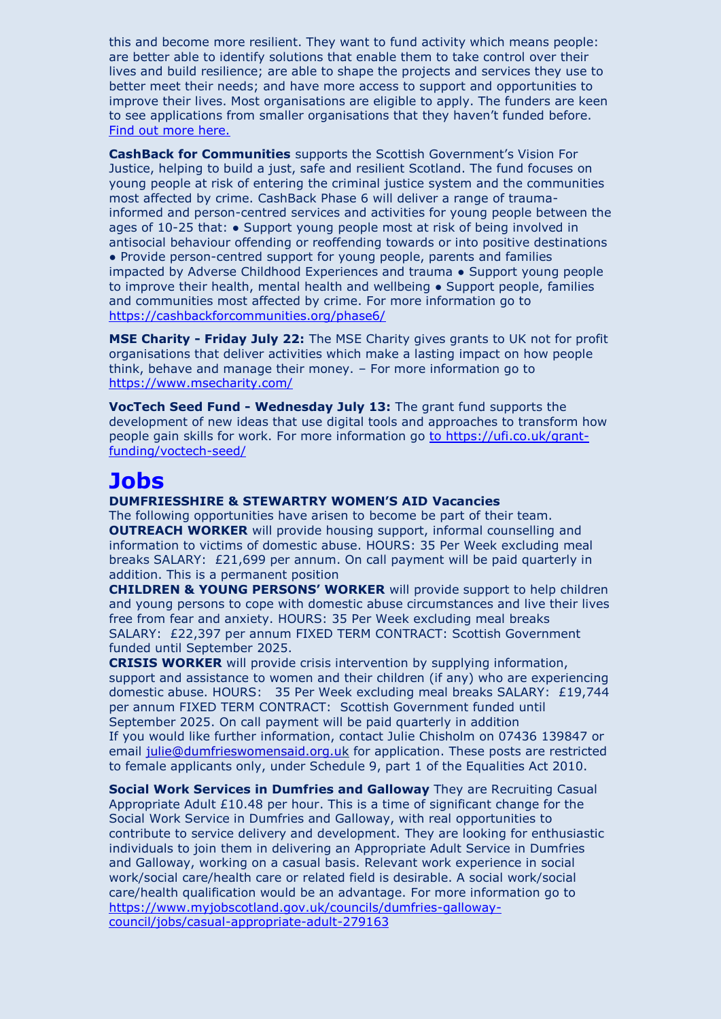this and become more resilient. They want to fund activity which means people: are better able to identify solutions that enable them to take control over their lives and build resilience; are able to shape the projects and services they use to better meet their needs; and have more access to support and opportunities to improve their lives. Most organisations are eligible to apply. The funders are keen to see applications from smaller organisations that they haven't funded before. [Find out more here.](https://chex.us3.list-manage.com/track/click?u=a120aae74605e54a77ee9891e&id=201d83e7bb&e=be8493b810)

**CashBack for Communities** supports the Scottish Government's Vision For Justice, helping to build a just, safe and resilient Scotland. The fund focuses on young people at risk of entering the criminal justice system and the communities most affected by crime. CashBack Phase 6 will deliver a range of traumainformed and person-centred services and activities for young people between the ages of 10-25 that: ● Support young people most at risk of being involved in antisocial behaviour offending or reoffending towards or into positive destinations • Provide person-centred support for young people, parents and families impacted by Adverse Childhood Experiences and trauma ● Support young people to improve their health, mental health and wellbeing ● Support people, families and communities most affected by crime. For more information go to <https://cashbackforcommunities.org/phase6/>

**MSE Charity - Friday July 22:** The MSE Charity gives grants to UK not for profit organisations that deliver activities which make a lasting impact on how people think, behave and manage their money. – For more information go to <https://www.msecharity.com/>

**VocTech Seed Fund - Wednesday July 13:** The grant fund supports the development of new ideas that use digital tools and approaches to transform how people gain skills for work. For more information go [to https://ufi.co.uk/grant](to%20https:/ufi.co.uk/grant-funding/voctech-seed/)[funding/voctech-seed/](to%20https:/ufi.co.uk/grant-funding/voctech-seed/)

## **Jobs**

#### **DUMFRIESSHIRE & STEWARTRY WOMEN'S AID Vacancies**

The following opportunities have arisen to become be part of their team. **OUTREACH WORKER** will provide housing support, informal counselling and information to victims of domestic abuse. HOURS: 35 Per Week excluding meal breaks SALARY: £21,699 per annum. On call payment will be paid quarterly in addition. This is a permanent position

**CHILDREN & YOUNG PERSONS' WORKER** will provide support to help children and young persons to cope with domestic abuse circumstances and live their lives free from fear and anxiety. HOURS: 35 Per Week excluding meal breaks SALARY: £22,397 per annum FIXED TERM CONTRACT: Scottish Government funded until September 2025.

**CRISIS WORKER** will provide crisis intervention by supplying information, support and assistance to women and their children (if any) who are experiencing domestic abuse. HOURS: 35 Per Week excluding meal breaks SALARY: £19,744 per annum FIXED TERM CONTRACT: Scottish Government funded until September 2025. On call payment will be paid quarterly in addition If you would like further information, contact Julie Chisholm on 07436 139847 or email [julie@dumfrieswomensaid.org.uk](mailto:julie@dumfrieswomensaid.org.uk) for application. These posts are restricted to female applicants only, under Schedule 9, part 1 of the Equalities Act 2010.

**Social Work Services in Dumfries and Galloway** They are Recruiting Casual Appropriate Adult  $£10.48$  per hour. This is a time of significant change for the Social Work Service in Dumfries and Galloway, with real opportunities to contribute to service delivery and development. They are looking for enthusiastic individuals to join them in delivering an Appropriate Adult Service in Dumfries and Galloway, working on a casual basis. Relevant work experience in social work/social care/health care or related field is desirable. A social work/social care/health qualification would be an advantage. For more information go to [https://www.myjobscotland.gov.uk/councils/dumfries-galloway](https://www.myjobscotland.gov.uk/councils/dumfries-galloway-council/jobs/casual-appropriate-adult-279163)[council/jobs/casual-appropriate-adult-279163](https://www.myjobscotland.gov.uk/councils/dumfries-galloway-council/jobs/casual-appropriate-adult-279163)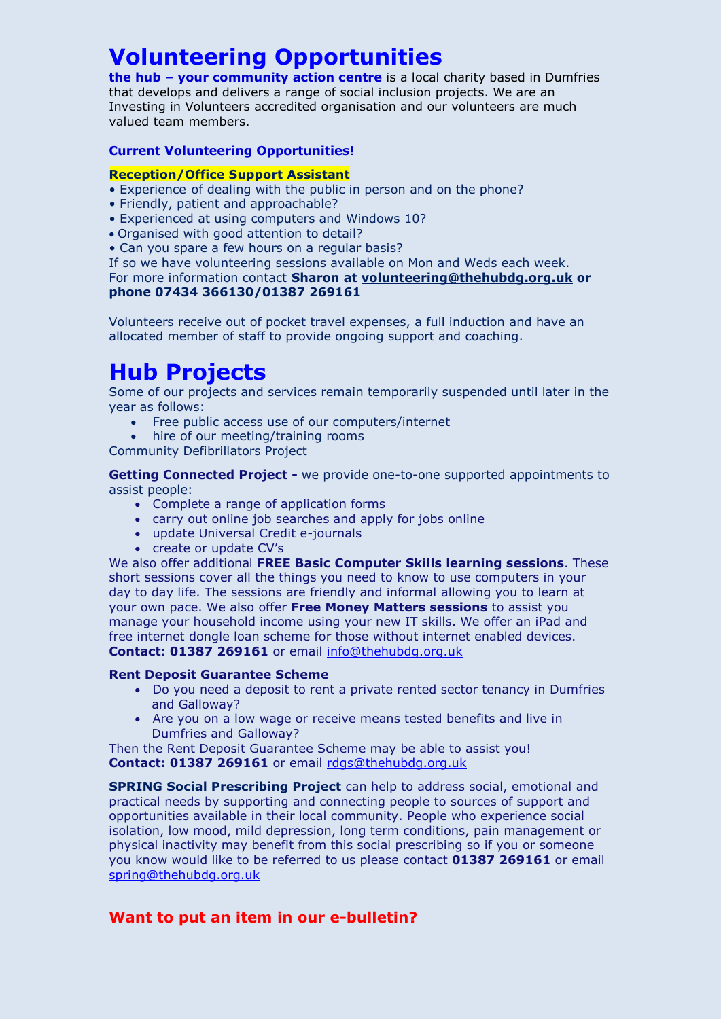# **Volunteering Opportunities**

**the hub – your community action centre** is a local charity based in Dumfries that develops and delivers a range of social inclusion projects. We are an Investing in Volunteers accredited organisation and our volunteers are much valued team members.

#### **Current Volunteering Opportunities!**

#### **Reception/Office Support Assistant**

- Experience of dealing with the public in person and on the phone?
- Friendly, patient and approachable?
- Experienced at using computers and Windows 10?
- Organised with good attention to detail?
- Can you spare a few hours on a regular basis?

If so we have volunteering sessions available on Mon and Weds each week. For more information contact **Sharon at [volunteering@thehubdg.org.uk](mailto:volunteering@thehubdg.org.uk) or phone 07434 366130/01387 269161**

Volunteers receive out of pocket travel expenses, a full induction and have an allocated member of staff to provide ongoing support and coaching.

# **Hub Projects**

Some of our projects and services remain temporarily suspended until later in the year as follows:

- Free public access use of our computers/internet
- hire of our meeting/training rooms

Community Defibrillators Project

**Getting Connected Project -** we provide one-to-one supported appointments to assist people:

- Complete a range of application forms
- carry out online job searches and apply for jobs online
- update Universal Credit e-journals
- create or update CV's

We also offer additional **FREE Basic Computer Skills learning sessions**. These short sessions cover all the things you need to know to use computers in your day to day life. The sessions are friendly and informal allowing you to learn at your own pace. We also offer **Free Money Matters sessions** to assist you manage your household income using your new IT skills. We offer an iPad and free internet dongle loan scheme for those without internet enabled devices. **Contact: 01387 269161** or email [info@thehubdg.org.uk](mailto:info@thehubdg.org.uk)

#### **Rent Deposit Guarantee Scheme**

- Do you need a deposit to rent a private rented sector tenancy in Dumfries and Galloway?
- Are you on a low wage or receive means tested benefits and live in Dumfries and Galloway?

Then the Rent Deposit Guarantee Scheme may be able to assist you! **Contact: 01387 269161** or email [rdgs@thehubdg.org.uk](mailto:rdgs@thehubdg.org.uk)

**SPRING Social Prescribing Project** can help to address social, emotional and practical needs by supporting and connecting people to sources of support and opportunities available in their local community. People who experience social isolation, low mood, mild depression, long term conditions, pain management or physical inactivity may benefit from this social prescribing so if you or someone you know would like to be referred to us please contact **01387 269161** or email [spring@thehubdg.org.uk](mailto:spring@thehubdg.org.uk)

### **Want to put an item in our e-bulletin?**